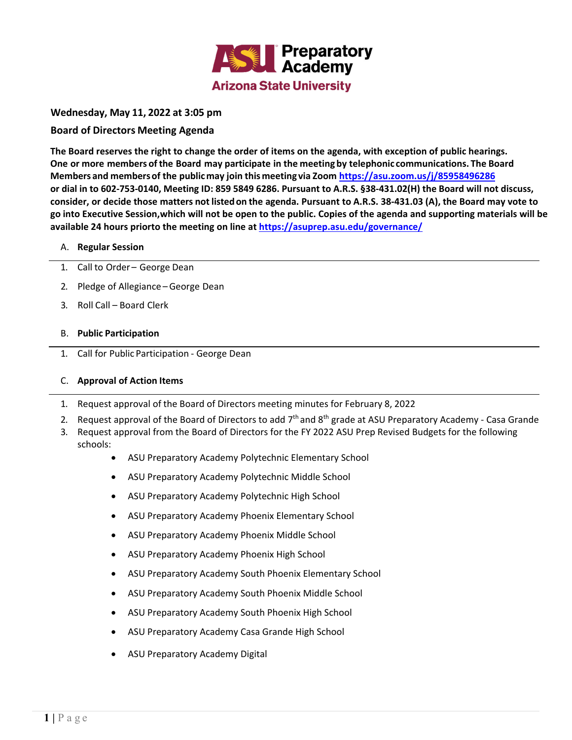

# **Wednesday, May 11, 2022 at 3:05 pm**

# **Board of Directors Meeting Agenda**

The Board reserves the right to change the order of items on the agenda, with exception of public hearings. **One or more members ofthe Board may participate in the meeting by telephonic communications. The Board Members and membersof the publicmay join this meeting via Zoom https://asu.zoom.us/j/85958496286** or dial in to 602-753-0140, Meeting ID: 859 5849 6286. Pursuant to A.R.S. §38-431.02(H) the Board will not discuss, consider, or decide those matters not listed on the agenda. Pursuant to A.R.S. 38-431.03 (A), the Board may vote to go into Executive Session, which will not be open to the public. Copies of the agenda and supporting materials will be **available 24 hours priorto the meeting on line at https://asuprep.asu.edu/governance/**

# A. **Regular Session**

- 1. Call to Order George Dean
- 2. Pledge of Allegiance –George Dean
- 3. Roll Call Board Clerk

### B. **Public Participation**

1. Call for Public Participation ‐ George Dean

# C. **Approval of Action Items**

- 1. Request approval of the Board of Directors meeting minutes for February 8, 2022
- 2. Request approval of the Board of Directors to add  $7<sup>th</sup>$  and 8<sup>th</sup> grade at ASU Preparatory Academy Casa Grande
- 3. Request approval from the Board of Directors for the FY 2022 ASU Prep Revised Budgets for the following schools:
	- ASU Preparatory Academy Polytechnic Elementary School
	- ASU Preparatory Academy Polytechnic Middle School
	- ASU Preparatory Academy Polytechnic High School
	- ASU Preparatory Academy Phoenix Elementary School
	- ASU Preparatory Academy Phoenix Middle School
	- ASU Preparatory Academy Phoenix High School
	- ASU Preparatory Academy South Phoenix Elementary School
	- ASU Preparatory Academy South Phoenix Middle School
	- ASU Preparatory Academy South Phoenix High School
	- ASU Preparatory Academy Casa Grande High School
	- ASU Preparatory Academy Digital